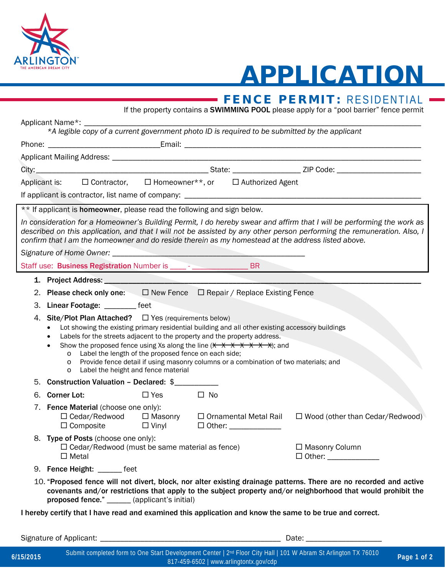

## APPLICATION

## EENCE DEDMIT, DECIDENTIAL

|                                                                                                                                                                                                                                                                                                                                                                                                                                                                                                                                                                                                       |                                                                                                              |            |                                             |  | <b>THE FENCE PERIVILE:</b> RESIDENTIAL<br>If the property contains a <b>SWIMMING POOL</b> please apply for a "pool barrier" fence permit                                                                                                          |  |  |  |  |  |  |
|-------------------------------------------------------------------------------------------------------------------------------------------------------------------------------------------------------------------------------------------------------------------------------------------------------------------------------------------------------------------------------------------------------------------------------------------------------------------------------------------------------------------------------------------------------------------------------------------------------|--------------------------------------------------------------------------------------------------------------|------------|---------------------------------------------|--|---------------------------------------------------------------------------------------------------------------------------------------------------------------------------------------------------------------------------------------------------|--|--|--|--|--|--|
|                                                                                                                                                                                                                                                                                                                                                                                                                                                                                                                                                                                                       | Applicant Name*: _                                                                                           |            |                                             |  |                                                                                                                                                                                                                                                   |  |  |  |  |  |  |
|                                                                                                                                                                                                                                                                                                                                                                                                                                                                                                                                                                                                       | *A legible copy of a current government photo ID is required to be submitted by the applicant                |            |                                             |  |                                                                                                                                                                                                                                                   |  |  |  |  |  |  |
|                                                                                                                                                                                                                                                                                                                                                                                                                                                                                                                                                                                                       |                                                                                                              |            |                                             |  |                                                                                                                                                                                                                                                   |  |  |  |  |  |  |
|                                                                                                                                                                                                                                                                                                                                                                                                                                                                                                                                                                                                       |                                                                                                              |            |                                             |  |                                                                                                                                                                                                                                                   |  |  |  |  |  |  |
|                                                                                                                                                                                                                                                                                                                                                                                                                                                                                                                                                                                                       |                                                                                                              |            |                                             |  |                                                                                                                                                                                                                                                   |  |  |  |  |  |  |
|                                                                                                                                                                                                                                                                                                                                                                                                                                                                                                                                                                                                       | Applicant is: □ Contractor, □ Homeowner**, or □ Authorized Agent                                             |            |                                             |  |                                                                                                                                                                                                                                                   |  |  |  |  |  |  |
|                                                                                                                                                                                                                                                                                                                                                                                                                                                                                                                                                                                                       |                                                                                                              |            |                                             |  |                                                                                                                                                                                                                                                   |  |  |  |  |  |  |
|                                                                                                                                                                                                                                                                                                                                                                                                                                                                                                                                                                                                       | ** If applicant is homeowner, please read the following and sign below.                                      |            |                                             |  |                                                                                                                                                                                                                                                   |  |  |  |  |  |  |
|                                                                                                                                                                                                                                                                                                                                                                                                                                                                                                                                                                                                       | confirm that I am the homeowner and do reside therein as my homestead at the address listed above.           |            |                                             |  | In consideration for a Homeowner's Building Permit, I do hereby swear and affirm that I will be performing the work as<br>described on this application, and that I will not be assisted by any other person performing the remuneration. Also, I |  |  |  |  |  |  |
|                                                                                                                                                                                                                                                                                                                                                                                                                                                                                                                                                                                                       |                                                                                                              |            |                                             |  |                                                                                                                                                                                                                                                   |  |  |  |  |  |  |
|                                                                                                                                                                                                                                                                                                                                                                                                                                                                                                                                                                                                       |                                                                                                              |            |                                             |  |                                                                                                                                                                                                                                                   |  |  |  |  |  |  |
|                                                                                                                                                                                                                                                                                                                                                                                                                                                                                                                                                                                                       |                                                                                                              |            |                                             |  |                                                                                                                                                                                                                                                   |  |  |  |  |  |  |
|                                                                                                                                                                                                                                                                                                                                                                                                                                                                                                                                                                                                       | 2. Please check only one: $\Box$ New Fence $\Box$ Repair / Replace Existing Fence                            |            |                                             |  |                                                                                                                                                                                                                                                   |  |  |  |  |  |  |
|                                                                                                                                                                                                                                                                                                                                                                                                                                                                                                                                                                                                       | 3. Linear Footage: _________ feet                                                                            |            |                                             |  |                                                                                                                                                                                                                                                   |  |  |  |  |  |  |
| 4. Site/Plot Plan Attached? $\Box$ Yes (requirements below)<br>Lot showing the existing primary residential building and all other existing accessory buildings<br>Labels for the streets adjacent to the property and the property address.<br>Show the proposed fence using Xs along the line $(\frac{1}{2} + \frac{1}{2} + \frac{1}{2} + \frac{1}{2} + \frac{1}{2})$ ; and<br>Label the length of the proposed fence on each side;<br>$\circ$<br>Provide fence detail if using masonry columns or a combination of two materials; and<br>$\circ$<br>Label the height and fence material<br>$\circ$ |                                                                                                              |            |                                             |  |                                                                                                                                                                                                                                                   |  |  |  |  |  |  |
|                                                                                                                                                                                                                                                                                                                                                                                                                                                                                                                                                                                                       | 5. Construction Valuation - Declared: \$                                                                     |            |                                             |  |                                                                                                                                                                                                                                                   |  |  |  |  |  |  |
|                                                                                                                                                                                                                                                                                                                                                                                                                                                                                                                                                                                                       | 6. Corner Lot:                                                                                               | $\Box$ Yes | $\square$ No                                |  |                                                                                                                                                                                                                                                   |  |  |  |  |  |  |
|                                                                                                                                                                                                                                                                                                                                                                                                                                                                                                                                                                                                       | 7. Fence Material (choose one only):                                                                         |            |                                             |  | □ Cedar/Redwood □ Masonry □ Ornamental Metal Rail □ Wood (other than Cedar/Redwood)                                                                                                                                                               |  |  |  |  |  |  |
|                                                                                                                                                                                                                                                                                                                                                                                                                                                                                                                                                                                                       | 8. Type of Posts (choose one only):<br>$\Box$ Cedar/Redwood (must be same material as fence)<br>$\Box$ Metal |            | □ Masonry Column<br>□ Other: ______________ |  |                                                                                                                                                                                                                                                   |  |  |  |  |  |  |
|                                                                                                                                                                                                                                                                                                                                                                                                                                                                                                                                                                                                       | 9. Fence Height: ______ feet                                                                                 |            |                                             |  |                                                                                                                                                                                                                                                   |  |  |  |  |  |  |
|                                                                                                                                                                                                                                                                                                                                                                                                                                                                                                                                                                                                       |                                                                                                              |            |                                             |  | 10 "Proposed fence will not divert block, nor alter existing drainage patterns. There are no recorded and active                                                                                                                                  |  |  |  |  |  |  |

10. "Proposed fence will not divert, block, nor alter existing drainage patterns. There are no recorded and active covenants and/or restrictions that apply to the subject property and/or neighborhood that would prohibit the proposed fence." \_\_\_\_\_\_ (applicant's initial)

I hereby certify that I have read and examined this application and know the same to be true and correct.

Signature of Applicant: \_\_\_\_\_\_\_\_\_\_\_\_\_\_\_\_\_\_\_\_\_\_\_\_\_\_\_\_\_\_\_\_\_\_\_\_\_\_\_\_\_\_\_\_\_ Date: \_\_\_\_\_\_\_\_\_\_\_\_\_\_\_\_\_\_\_